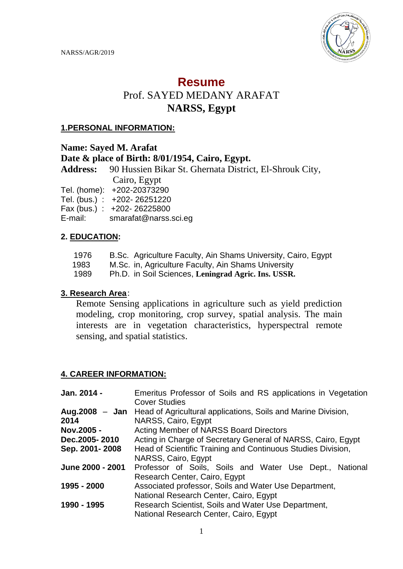

# **Resume**

# Prof. SAYED MEDANY ARAFAT **NARSS, Egypt**

#### **1.PERSONAL INFORMATION:**

#### **Name: Sayed M. Arafat**

# **Date & place of Birth: 8/01/1954, Cairo, Egypt.**

**Address:** 90 Hussien Bikar St. Ghernata District, El-Shrouk City, Cairo, Egypt

Tel. (home): +202-20373290

Tel. (bus.) : +202- 26251220

Fax (bus.) : +202- 26225800

E-mail: smarafat@narss.sci.eg

# **2. EDUCATION:**

- 1976 B.Sc. Agriculture Faculty, Ain Shams University, Cairo, Egypt
- 1983 M.Sc. in, Agriculture Faculty, Ain Shams University

1989 Ph.D. in Soil Sciences, **Leningrad Agric. Ins. USSR.**

#### **3. Research Area**:

Remote Sensing applications in agriculture such as yield prediction modeling, crop monitoring, crop survey, spatial analysis. The main interests are in vegetation characteristics, hyperspectral remote sensing, and spatial statistics.

# **4. CAREER INFORMATION:**

| Jan. 2014 -      | Emeritus Professor of Soils and RS applications in Vegetation                       |
|------------------|-------------------------------------------------------------------------------------|
|                  | <b>Cover Studies</b>                                                                |
|                  | <b>Aug.2008 – Jan</b> Head of Agricultural applications, Soils and Marine Division, |
| 2014             | NARSS, Cairo, Egypt                                                                 |
| Nov.2005 -       | <b>Acting Member of NARSS Board Directors</b>                                       |
| Dec.2005-2010    | Acting in Charge of Secretary General of NARSS, Cairo, Egypt                        |
| Sep. 2001-2008   | Head of Scientific Training and Continuous Studies Division,                        |
|                  | NARSS, Cairo, Egypt                                                                 |
| June 2000 - 2001 | Professor of Soils, Soils and Water Use Dept., National                             |
|                  | Research Center, Cairo, Egypt                                                       |
| 1995 - 2000      | Associated professor, Soils and Water Use Department,                               |
|                  | National Research Center, Cairo, Egypt                                              |
| 1990 - 1995      | Research Scientist, Soils and Water Use Department,                                 |
|                  | National Research Center, Cairo, Egypt                                              |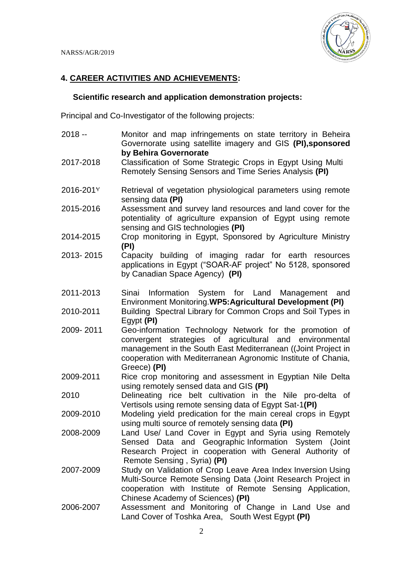

#### **4. CAREER ACTIVITIES AND ACHIEVEMENTS:**

#### **Scientific research and application demonstration projects:**

Principal and Co-Investigator of the following projects:

2018 -- Monitor and map infringements on state territory in Beheira Governorate using satellite imagery and GIS **(PI),sponsored by Behira Governorate** 2017-2018 Classification of Some Strategic Crops in Egypt Using Multi Remotely Sensing Sensors and Time Series Analysis **(PI)** 2016-2017 Retrieval of vegetation physiological parameters using remote sensing data **(PI)** 2015-2016 Assessment and survey land resources and land cover for the potentiality of agriculture expansion of Egypt using remote sensing and GIS technologies **(PI)** 2014-2015 Crop monitoring in Egypt, Sponsored by Agriculture Ministry **(PI)** 2013- 2015 Capacity building of imaging radar for earth resources applications in Egypt ("SOAR-AF project" No 5128, sponsored by Canadian Space Agency) **(PI)** 2011-2013 Sinai Information System for Land Management and Environment Monitoring.**WP5:Agricultural Development (PI)** 2010-2011 Building Spectral Library for Common Crops and Soil Types in Egypt **(PI)** 2009- 2011 Geo-information Technology Network for the promotion of convergent strategies of agricultural and environmental management in the South East Mediterranean ((Joint Project in cooperation with Mediterranean Agronomic Institute of Chania, Greece) **(PI)** 2009-2011 Rice crop monitoring and assessment in Egyptian Nile Delta using remotely sensed data and GIS **(PI)** 2010 Delineating rice belt cultivation in the Nile pro-delta of Vertisols using remote sensing data of Egypt Sat-1**(PI)** 2009-2010 Modeling yield predication for the main cereal crops in Egypt using multi source of remotely sensing data **(PI)** 2008-2009 Land Use/ Land Cover in Egypt and Syria using Remotely Sensed Data and Geographic Information System (Joint Research Project in cooperation with General Authority of Remote Sensing , Syria) **(PI)** 2007-2009 Study on Validation of Crop Leave Area Index Inversion Using Multi-Source Remote Sensing Data (Joint Research Project in cooperation with Institute of Remote Sensing Application, Chinese Academy of Sciences) **(PI)** 2006-2007 Assessment and Monitoring of Change in Land Use and Land Cover of Toshka Area, South West Egypt **(PI)**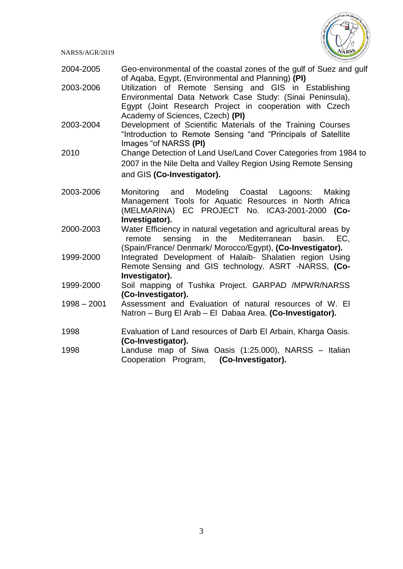

- 2004-2005 Geo-environmental of the coastal zones of the gulf of Suez and gulf of Aqaba, Egypt, (Environmental and Planning) **(PI)**
- 2003-2006 Utilization of Remote Sensing and GIS in Establishing Environmental Data Network Case Study: (Sinai Peninsula), Egypt (Joint Research Project in cooperation with Czech Academy of Sciences, Czech) **(PI)**
- 2003-2004 Development of Scientific Materials of the Training Courses "Introduction to Remote Sensing "and "Principals of Satellite Images "of NARSS **(PI)**
- 2010 Change Detection of Land Use/Land Cover Categories from 1984 to 2007 in the Nile Delta and Valley Region Using Remote Sensing and GIS **(Co-Investigator).**
- 2003-2006 Monitoring and Modeling Coastal Lagoons: Making Management Tools for Aquatic Resources in North Africa (MELMARINA) EC PROJECT No. ICA3-2001-2000 **(Co-Investigator).**
- 2000-2003 Water Efficiency in natural vegetation and agricultural areas by remote sensing in the Mediterranean basin. EC, (Spain/France/ Denmark/ Morocco/Egypt), **(Co-Investigator).**
- 1999-2000 Integrated Development of Halaib- Shalatien region Using Remote Sensing and GIS technology. ASRT -NARSS, **(Co-Investigator).**
- 1999-2000 Soil mapping of Tushka Project. GARPAD /MPWR/NARSS **(Co-Investigator).**
- 1998 2001 Assessment and Evaluation of natural resources of W. El Natron – Burg El Arab – El Dabaa Area. **(Co-Investigator).**
- 1998 Evaluation of Land resources of Darb El Arbain, Kharga Oasis. **(Co-Investigator).**
- 1998 Landuse map of Siwa Oasis (1:25.000), NARSS Italian Cooperation Program, **(Co-Investigator).**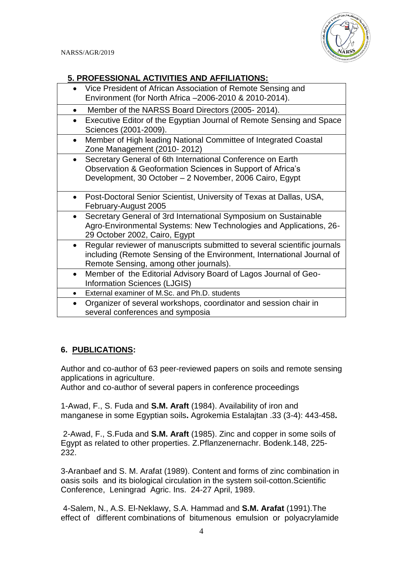

#### **5. PROFESSIONAL ACTIVITIES AND AFFILIATIONS:**

| Vice President of African Association of Remote Sensing and<br>Environment (for North Africa -2006-2010 & 2010-2014).                                                                                     |
|-----------------------------------------------------------------------------------------------------------------------------------------------------------------------------------------------------------|
| Member of the NARSS Board Directors (2005-2014).<br>$\bullet$                                                                                                                                             |
| Executive Editor of the Egyptian Journal of Remote Sensing and Space<br>$\bullet$<br>Sciences (2001-2009).                                                                                                |
| Member of High leading National Committee of Integrated Coastal<br>$\bullet$<br>Zone Management (2010-2012)                                                                                               |
| Secretary General of 6th International Conference on Earth<br>$\bullet$<br>Observation & Geoformation Sciences in Support of Africa's<br>Development, 30 October - 2 November, 2006 Cairo, Egypt          |
| Post-Doctoral Senior Scientist, University of Texas at Dallas, USA,<br>$\bullet$<br>February-August 2005                                                                                                  |
| Secretary General of 3rd International Symposium on Sustainable<br>$\bullet$<br>Agro-Environmental Systems: New Technologies and Applications, 26-<br>29 October 2002, Cairo, Egypt                       |
| Regular reviewer of manuscripts submitted to several scientific journals<br>$\bullet$<br>including (Remote Sensing of the Environment, International Journal of<br>Remote Sensing, among other journals). |
| Member of the Editorial Advisory Board of Lagos Journal of Geo-<br>$\bullet$<br><b>Information Sciences (LJGIS)</b>                                                                                       |
| External examiner of M.Sc. and Ph.D. students<br>$\bullet$                                                                                                                                                |
| Organizer of several workshops, coordinator and session chair in<br>$\bullet$<br>several conferences and symposia                                                                                         |

# **6. PUBLICATIONS:**

Author and co-author of 63 peer-reviewed papers on soils and remote sensing applications in agriculture.

Author and co-author of several papers in conference proceedings

1-Awad, F., S. Fuda and **S.M. Araft** (1984). Availability of iron and manganese in some Egyptian soils**.** Agrokemia Estalajtan .33 (3-4): 443-458**.**

2-Awad, F., S.Fuda and **S.M. Araft** (1985). Zinc and copper in some soils of Egypt as related to other properties. Z.Pflanzenernachr. Bodenk.148, 225- 232.

3-Aranbaef and S. M. Arafat (1989). Content and forms of zinc combination in oasis soils and its biological circulation in the system soil-cotton.Scientific Conference, Leningrad Agric. Ins. 24-27 April, 1989.

4-Salem, N., A.S. El-Neklawy, S.A. Hammad and **S.M. Arafat** (1991).The effect of different combinations of bitumenous emulsion or polyacrylamide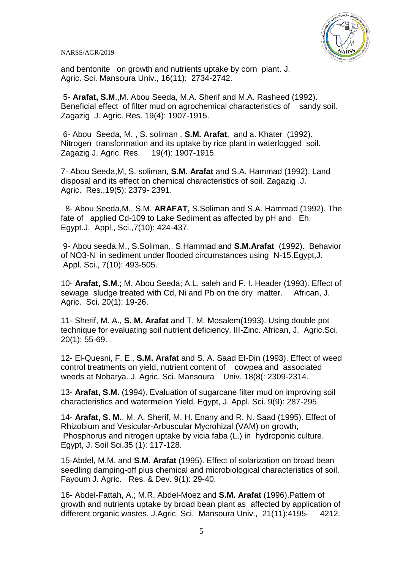

and bentonite on growth and nutrients uptake by corn plant. J. Agric. Sci. Mansoura Univ., 16(11): 2734-2742.

5- **Arafat, S.M**.,M. Abou Seeda, M.A. Sherif and M.A. Rasheed (1992). Beneficial effect of filter mud on agrochemical characteristics of sandy soil. Zagazig J. Agric. Res. 19(4): 1907-1915.

6- Abou Seeda, M. , S. soliman , **S.M. Arafat**, and a. Khater (1992). Nitrogen transformation and its uptake by rice plant in waterlogged soil. Zagazig J. Agric. Res. 19(4): 1907-1915.

7- Abou Seeda,M, S. soliman, **S.M. Arafat** and S.A. Hammad (1992). Land disposal and its effect on chemical characteristics of soil. Zagazig .J. Agric. Res.,19(5): 2379- 2391.

 8- Abou Seeda,M., S.M. **ARAFAT,** S.Soliman and S.A. Hammad (1992). The fate of applied Cd-109 to Lake Sediment as affected by pH and Eh. Egypt.J. Appl., Sci.,7(10): 424-437.

9- Abou seeda,M., S.Soliman,. S.Hammad and **S.M.Arafat** (1992). Behavior of NO3-N in sediment under flooded circumstances using N-15.Egypt,J. Appl. Sci., 7(10): 493-505.

10- **Arafat, S.M**.; M. Abou Seeda; A.L. saleh and F. I. Header (1993). Effect of sewage sludge treated with Cd, Ni and Pb on the dry matter. African, J. Agric. Sci. 20(1): 19-26.

11- Sherif, M. A., **S. M. Arafat** and T. M. Mosalem(1993). Using double pot technique for evaluating soil nutrient deficiency. III-Zinc. African, J. Agric.Sci. 20(1): 55-69.

12- El-Quesni, F. E., **S.M. Arafat** and S. A. Saad El-Din (1993). Effect of weed control treatments on yield, nutrient content of cowpea and associated weeds at Nobarya. J. Agric. Sci. Mansoura Univ. 18(8(: 2309-2314.

13- **Arafat, S.M.** (1994). Evaluation of sugarcane filter mud on improving soil characteristics and watermelon Yield. Egypt, J. Appl. Sci. 9(9): 287-295.

14- **Arafat, S. M.**, M. A. Sherif, M. H. Enany and R. N. Saad (1995). Effect of Rhizobium and Vesicular-Arbuscular Mycrohizal (VAM) on growth, Phosphorus and nitrogen uptake by vicia faba (L.) in hydroponic culture. Egypt, J. Soil Sci.35 (1): 117-128.

15-Abdel, M.M. and **S.M. Arafat** (1995). Effect of solarization on broad bean seedling damping-off plus chemical and microbiological characteristics of soil. Fayoum J. Agric. Res. & Dev. 9(1): 29-40.

16- Abdel-Fattah, A.; M.R. Abdel-Moez and **S.M. Arafat** (1996).Pattern of growth and nutrients uptake by broad bean plant as affected by application of different organic wastes. J.Agric. Sci. Mansoura Univ., 21(11):4195- 4212.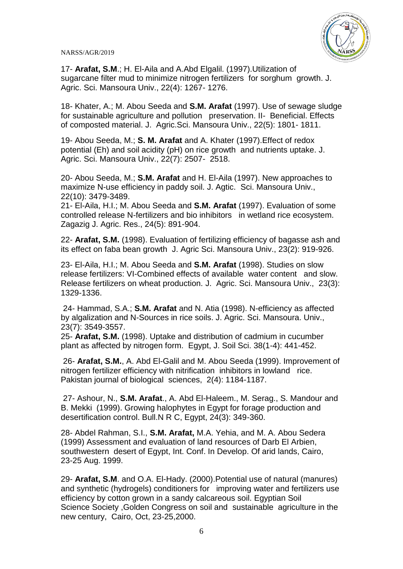

17- **Arafat, S.M**.; H. El-Aila and A.Abd Elgalil. (1997).Utilization of sugarcane filter mud to minimize nitrogen fertilizers for sorghum growth. J. Agric. Sci. Mansoura Univ., 22(4): 1267- 1276.

18- Khater, A.; M. Abou Seeda and **S.M. Arafat** (1997). Use of sewage sludge for sustainable agriculture and pollution preservation. II- Beneficial. Effects of composted material. J. Agric.Sci. Mansoura Univ., 22(5): 1801- 1811.

19- Abou Seeda, M.; **S. M. Arafat** and A. Khater (1997).Effect of redox potential (Eh) and soil acidity (pH) on rice growth and nutrients uptake. J. Agric. Sci. Mansoura Univ., 22(7): 2507- 2518.

20- Abou Seeda, M.; **S.M. Arafat** and H. El-Aila (1997). New approaches to maximize N-use efficiency in paddy soil. J. Agtic. Sci. Mansoura Univ., 22(10): 3479-3489.

21- El-Aila, H.I.; M. Abou Seeda and **S.M. Arafat** (1997). Evaluation of some controlled release N-fertilizers and bio inhibitors in wetland rice ecosystem. Zagazig J. Agric. Res., 24(5): 891-904.

22- **Arafat, S.M.** (1998). Evaluation of fertilizing efficiency of bagasse ash and its effect on faba bean growth J. Agric Sci. Mansoura Univ., 23(2): 919-926.

23- El-Aila, H.I.; M. Abou Seeda and **S.M. Arafat** (1998). Studies on slow release fertilizers: VI-Combined effects of available water content and slow. Release fertilizers on wheat production. J. Agric. Sci. Mansoura Univ., 23(3): 1329-1336.

24- Hammad, S.A.; **S.M. Arafat** and N. Atia (1998). N-efficiency as affected by algalization and N-Sources in rice soils. J. Agric. Sci. Mansoura. Univ., 23(7): 3549-3557.

25- **Arafat, S.M.** (1998). Uptake and distribution of cadmium in cucumber plant as affected by nitrogen form. Egypt, J. Soil Sci. 38(1-4): 441-452.

26- **Arafat, S.M.**, A. Abd El-Galil and M. Abou Seeda (1999). Improvement of nitrogen fertilizer efficiency with nitrification inhibitors in lowland rice. Pakistan journal of biological sciences, 2(4): 1184-1187.

27- Ashour, N., **S.M. Arafat**., A. Abd El-Haleem., M. Serag., S. Mandour and B. Mekki (1999). Growing halophytes in Egypt for forage production and desertification control. Bull.N R C, Egypt, 24(3): 349-360.

28- Abdel Rahman, S.I., **S.M. Arafat,** M.A. Yehia, and M. A. Abou Sedera (1999) Assessment and evaluation of land resources of Darb El Arbien, southwestern desert of Egypt, Int. Conf. In Develop. Of arid lands, Cairo, 23-25 Aug. 1999.

29- **Arafat, S.M**. and O.A. El-Hady. (2000).Potential use of natural (manures) and synthetic (hydrogels) conditioners for improving water and fertilizers use efficiency by cotton grown in a sandy calcareous soil. Egyptian Soil Science Society ,Golden Congress on soil and sustainable agriculture in the new century, Cairo, Oct, 23-25,2000.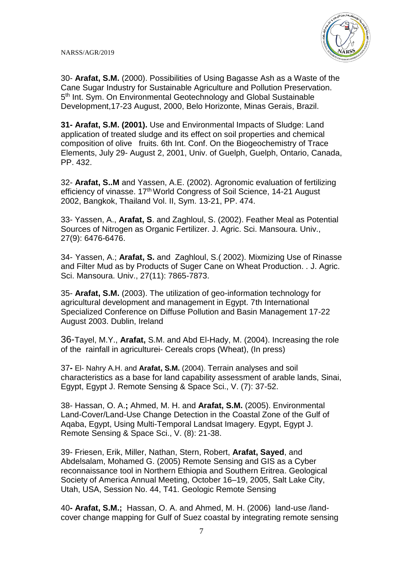

30- **Arafat, S.M.** (2000). Possibilities of Using Bagasse Ash as a Waste of the Cane Sugar Industry for Sustainable Agriculture and Pollution Preservation. 5<sup>th</sup> Int. Sym. On Environmental Geotechnology and Global Sustainable Development,17-23 August, 2000, Belo Horizonte, Minas Gerais, Brazil.

**31- Arafat, S.M. (2001).** Use and Environmental Impacts of Sludge: Land application of treated sludge and its effect on soil properties and chemical composition of olive fruits. 6th Int. Conf. On the Biogeochemistry of Trace Elements, July 29- August 2, 2001, Univ. of Guelph, Guelph, Ontario, Canada, PP. 432.

32- **Arafat, S..M** and Yassen, A.E. (2002). Agronomic evaluation of fertilizing efficiency of vinasse. 17<sup>th</sup> World Congress of Soil Science, 14-21 August 2002, Bangkok, Thailand Vol. II, Sym. 13-21, PP. 474.

33- Yassen, A., **Arafat, S**. and Zaghloul, S. (2002). Feather Meal as Potential Sources of Nitrogen as Organic Fertilizer. J. Agric. Sci. Mansoura. Univ., 27(9): 6476-6476.

34- Yassen, A.; **Arafat, S.** and Zaghloul, S.( 2002). Mixmizing Use of Rinasse and Filter Mud as by Products of Suger Cane on Wheat Production. . J. Agric. Sci. Mansoura. Univ., 27(11): 7865-7873.

35- **Arafat, S.M.** (2003). The utilization of geo-information technology for agricultural development and management in Egypt. 7th International Specialized Conference on Diffuse Pollution and Basin Management 17-22 August 2003. Dublin, Ireland

36-Tayel, M.Y., **Arafat,** S.M. and Abd El-Hady, M. (2004). Increasing the role of the rainfall in agriculturei- Cereals crops (Wheat), (In press)

37**-** El- Nahry A.H. and **Arafat, S.M.** (2004). Terrain analyses and soil characteristics as a base for land capability assessment of arable lands, Sinai, Egypt, Egypt J. Remote Sensing & Space Sci., V. (7): 37-52.

38- Hassan, O. A.**;** Ahmed, M. H. and **Arafat, S.M.** (2005). Environmental Land-Cover/Land-Use Change Detection in the Coastal Zone of the Gulf of Aqaba, Egypt, Using Multi-Temporal Landsat Imagery. Egypt, Egypt J. Remote Sensing & Space Sci., V. (8): 21-38.

39- Friesen, Erik, Miller, Nathan, Stern, Robert, **Arafat, Sayed**, and Abdelsalam, Mohamed G. (2005) [Remote Sensing and GIS as a Cyber](http://gsa.confex.com/gsa/2005AM/finalprogram/abstract_97706.htm) reconnaissance [tool in Northern Ethiopia and Southern Eritrea.](http://gsa.confex.com/gsa/2005AM/finalprogram/abstract_97706.htm) Geological Society of America Annual Meeting, October 16–19, 2005, Salt Lake City, Utah, USA, Session No. 44, T41. Geologic Remote Sensing

40**- Arafat, S.M.;** Hassan, O. A. and Ahmed, M. H. (2006) land-use /landcover change mapping for Gulf of Suez coastal by integrating remote sensing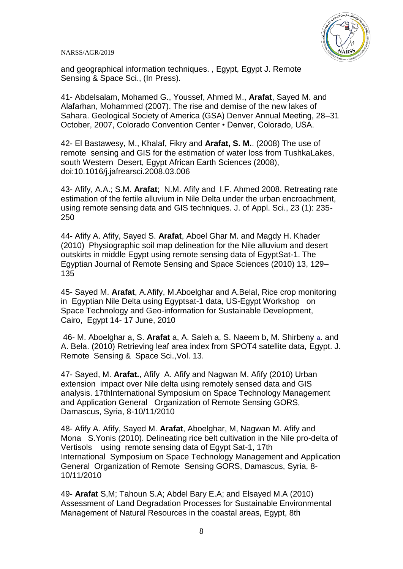

and geographical information techniques. , Egypt, Egypt J. Remote Sensing & Space Sci., (In Press).

41- [Abdelsalam, Mohamed G.,](mailto:abdelsam@umr.edu) Youssef, Ahmed M., **Arafat**, Sayed M. and Alafarhan, Mohammed (2007). The rise and demise of the new lakes of Sahara. Geological Society of America (GSA) Denver Annual Meeting, 28–31 October, 2007, Colorado Convention Center • Denver, Colorado, USA.

42- El Bastawesy, M., Khalaf, Fikry and **Arafat, S. M.**. (2008) The use of remote sensing and GIS for the estimation of water loss from TushkaLakes, south Western Desert, Egypt African Earth Sciences (2008), doi:10.1016/j.jafrearsci.2008.03.006

43- Afify, A.A.; S.M. **Arafat**; N.M. Afify and I.F. Ahmed 2008. Retreating rate estimation of the fertile alluvium in Nile Delta under the urban encroachment, using remote sensing data and GIS techniques. J. of Appl. Sci., 23 (1): 235- 250

44- Afify A. Afify, Sayed S. **Arafat**, Aboel Ghar M. and Magdy H. Khader (2010) Physiographic soil map delineation for the Nile alluvium and desert outskirts in middle Egypt using remote sensing data of EgyptSat-1. The Egyptian Journal of Remote Sensing and Space Sciences (2010) 13, 129– 135

45- Sayed M. **Arafat**, A.Afify, M.Aboelghar and A.Belal, Rice crop monitoring in Egyptian Nile Delta using Egyptsat-1 data, US-Egypt Workshop on Space Technology and Geo-information for Sustainable Development, Cairo, Egypt 14- 17 June, 2010

46- M. Aboelghar a, S. **Arafat** a, A. Saleh a, S. Naeem b, M. Shirbeny a. and A. Bela. (2010) Retrieving leaf area index from SPOT4 satellite data, Egypt. J. Remote Sensing & Space Sci.,Vol. 13.

47- Sayed, M. **Arafat.**, Afify A. Afify and Nagwan M. Afify (2010) Urban extension impact over Nile delta using remotely sensed data and GIS analysis. 17thInternational Symposium on Space Technology Management and Application General Organization of Remote Sensing GORS, Damascus, Syria, 8-10/11/2010

48- Afify A. Afify, Sayed M. **Arafat**, Aboelghar, M, Nagwan M. Afify and Mona S.Yonis (2010). Delineating rice belt cultivation in the Nile pro-delta of Vertisols using remote sensing data of Egypt Sat-1, 17th International Symposium on Space Technology Management and Application General Organization of Remote Sensing GORS, Damascus, Syria, 8- 10/11/2010

49- **Arafat** S,M; Tahoun S.A; Abdel Bary E.A; and Elsayed M.A (2010) Assessment of Land Degradation Processes for Sustainable Environmental Management of Natural Resources in the coastal areas, Egypt, 8th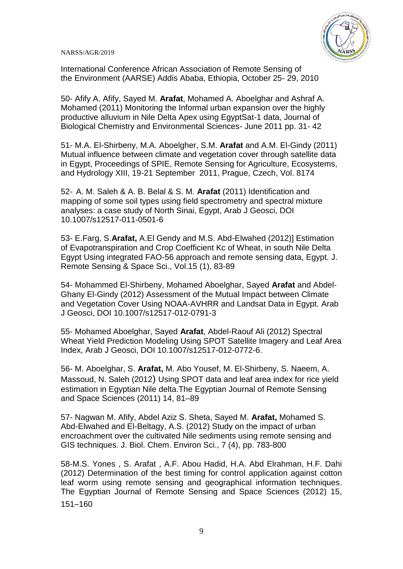

International Conference African Association of Remote Sensing of the Environment (AARSE) Addis Ababa, Ethiopia, October 25- 29, 2010

50- Afify A. Afify, Sayed M. **Arafat**, Mohamed A. Aboelghar and Ashraf A. Mohamed (2011) Monitoring the Informal urban expansion over the highly productive alluvium in Nile Delta Apex using EgyptSat-1 data, Journal of Biological Chemistry and Environmental Sciences- June 2011 pp. 31- 42

51- M.A. El-Shirbeny, M.A. Aboelgher, S.M. **Arafat** and A.M. El-Gindy (2011) Mutual influence between climate and vegetation cover through satellite data in Egypt, Proceedings of SPIE, Remote Sensing for Agriculture, Ecosystems, and Hydrology XIII, 19-21 September 2011, Prague, Czech, Vol. 8174

52- A. M. Saleh & A. B. Belal & S. M. **Arafat** (2011) Identification and mapping of some soil types using field spectrometry and spectral mixture analyses: a case study of North Sinai, Egypt, Arab J Geosci, DOI 10.1007/s12517-011-0501-6

53- E.Farg, S.**Arafat,** A.El Gendy and M.S. Abd-Elwahed (2012)] Estimation of Evapotranspiration and Crop Coefficient Kc of Wheat, in south Nile Delta Egypt Using integrated FAO-56 approach and remote sensing data, Egypt. J. Remote Sensing & Space Sci., Vol.15 (1), 83-89

54- Mohammed El-Shirbeny, Mohamed Aboelghar, Sayed **Arafat** and Abdel-Ghany El-Gindy (2012) Assessment of the Mutual Impact between Climate and Vegetation Cover Using NOAA-AVHRR and Landsat Data in Egypt. Arab J Geosci, DOI 10.1007/s12517-012-0791-3

55- Mohamed Aboelghar, Sayed **Arafat**, Abdel-Raouf Ali (2012) Spectral Wheat Yield Prediction Modeling Using SPOT Satellite Imagery and Leaf Area Index, Arab J Geosci, DOI 10.1007/s12517-012-0772-6.

56- M. Aboelghar, S. **Arafat,** M. Abo Yousef, M. El-Shirbeny, S. Naeem, A. Massoud, N. Saleh (2012) Using SPOT data and leaf area index for rice yield estimation in Egyptian Nile delta.The Egyptian Journal of Remote Sensing and Space Sciences (2011) 14, 81–89

57- Nagwan M. Afify, Abdel Aziz S. Sheta, Sayed M. **Arafat,** Mohamed S. Abd-Elwahed and El-Beltagy, A.S. (2012) Study on the impact of urban encroachment over the cultivated Nile sediments using remote sensing and GIS techniques. J. Biol. Chem. Environ Sci., 7 (4), pp. 783-800

58-M.S. Yones , S. Arafat , A.F. Abou Hadid, H.A. Abd Elrahman, H.F. Dahi (2012) Determination of the best timing for control application against cotton leaf worm using remote sensing and geographical information techniques. The Egyptian Journal of Remote Sensing and Space Sciences (2012) 15, 151–160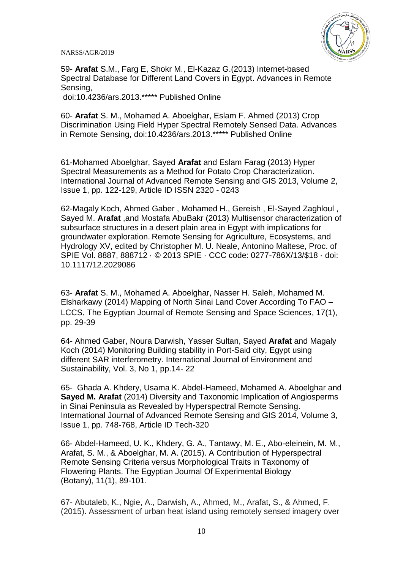

59- **Arafat** S.M., Farg E, Shokr M., El-Kazaz G.(2013) Internet-based Spectral Database for Different Land Covers in Egypt. Advances in Remote Sensing,

doi:10.4236/ars.2013.\*\*\*\*\* Published Online

60- **Arafat** S. M., Mohamed A. Aboelghar, Eslam F. Ahmed (2013) Crop Discrimination Using Field Hyper Spectral Remotely Sensed Data. Advances in Remote Sensing, doi:10.4236/ars.2013.\*\*\*\*\* Published Online

61-Mohamed Aboelghar, Sayed **Arafat** and Eslam Farag (2013) Hyper Spectral Measurements as a Method for Potato Crop Characterization. International Journal of Advanced Remote Sensing and GIS 2013, Volume 2, Issue 1, pp. 122-129, Article ID ISSN 2320 - 0243

62-Magaly Koch, Ahmed Gaber , Mohamed H., Gereish , El-Sayed Zaghloul , Sayed M. **Arafat** ,and Mostafa AbuBakr (2013) Multisensor characterization of subsurface structures in a desert plain area in Egypt with implications for groundwater exploration. Remote Sensing for Agriculture, Ecosystems, and Hydrology XV, edited by Christopher M. U. Neale, Antonino Maltese, Proc. of SPIE Vol. 8887, 888712 · © 2013 SPIE · CCC code: 0277-786X/13/\$18 · doi: 10.1117/12.2029086

63- **Arafat** S. M., Mohamed A. Aboelghar, Nasser H. Saleh, Mohamed M. Elsharkawy (2014) Mapping of North Sinai Land Cover According To FAO – LCCS. The Egyptian Journal of Remote Sensing and Space Sciences, 17(1), pp. 29-39

64- Ahmed Gaber, Noura Darwish, Yasser Sultan, Sayed **Arafat** and Magaly Koch (2014) Monitoring Building stability in Port-Said city, Egypt using different SAR interferometry. International Journal of Environment and Sustainability, Vol. 3, No 1, pp.14- 22

65- Ghada A. Khdery, Usama K. Abdel-Hameed, Mohamed A. Aboelghar and **Sayed M. Arafat** (2014) Diversity and Taxonomic Implication of Angiosperms in Sinai Peninsula as Revealed by Hyperspectral Remote Sensing. International Journal of Advanced Remote Sensing and GIS 2014, Volume 3, Issue 1, pp. 748-768, Article ID Tech-320

66- Abdel-Hameed, U. K., Khdery, G. A., Tantawy, M. E., Abo-eleinein, M. M., Arafat, S. M., & Aboelghar, M. A. (2015). A Contribution of Hyperspectral Remote Sensing Criteria versus Morphological Traits in Taxonomy of Flowering Plants. The Egyptian Journal Of Experimental Biology (Botany), 11(1), 89-101.

67- Abutaleb, K., Ngie, A., Darwish, A., Ahmed, M., Arafat, S., & Ahmed, F. (2015). Assessment of urban heat island using remotely sensed imagery over